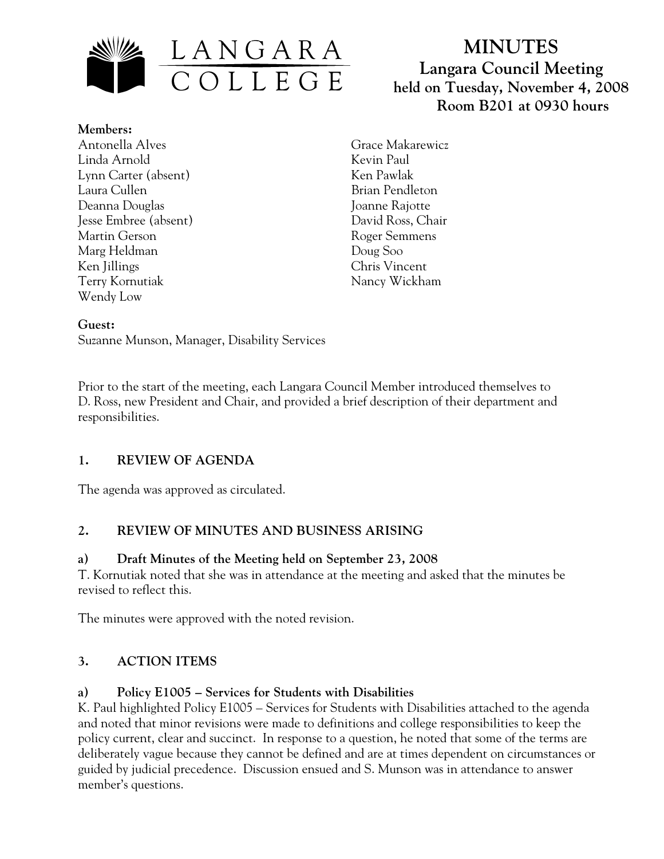

**Members:** Antonella Alves Linda Arnold Lynn Carter (absent) Laura Cullen Deanna Douglas Jesse Embree (absent) Martin Gerson Marg Heldman Ken Jillings Terry Kornutiak Wendy Low

# **MINUTES Langara Council Meeting held on Tuesday, November 4, 2008 Room B201 at 0930 hours**

Grace Makarewicz Kevin Paul Ken Pawlak Brian Pendleton Joanne Rajotte David Ross, Chair Roger Semmens Doug Soo Chris Vincent Nancy Wickham

#### **Guest:**

Suzanne Munson, Manager, Disability Services

Prior to the start of the meeting, each Langara Council Member introduced themselves to D. Ross, new President and Chair, and provided a brief description of their department and responsibilities.

## **1. REVIEW OF AGENDA**

The agenda was approved as circulated.

## **2. REVIEW OF MINUTES AND BUSINESS ARISING**

#### **a) Draft Minutes of the Meeting held on September 23, 2008**

T. Kornutiak noted that she was in attendance at the meeting and asked that the minutes be revised to reflect this.

The minutes were approved with the noted revision.

## **3. ACTION ITEMS**

## **a) Policy E1005 – Services for Students with Disabilities**

K. Paul highlighted Policy E1005 – Services for Students with Disabilities attached to the agenda and noted that minor revisions were made to definitions and college responsibilities to keep the policy current, clear and succinct. In response to a question, he noted that some of the terms are deliberately vague because they cannot be defined and are at times dependent on circumstances or guided by judicial precedence. Discussion ensued and S. Munson was in attendance to answer member's questions.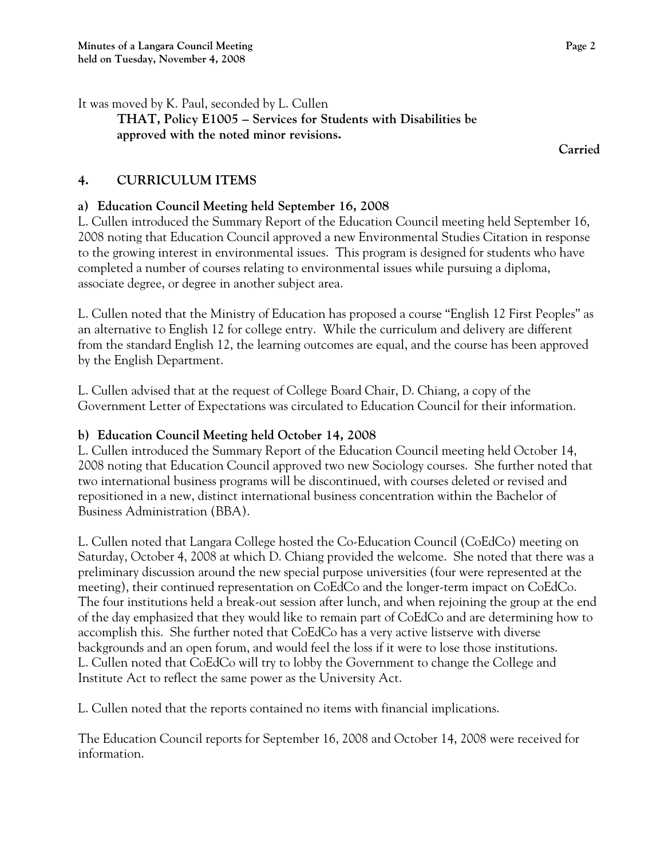It was moved by K. Paul, seconded by L. Cullen

**THAT, Policy E1005 – Services for Students with Disabilities be approved with the noted minor revisions.** 

**Carried** 

# **4. CURRICULUM ITEMS**

## **a) Education Council Meeting held September 16, 2008**

L. Cullen introduced the Summary Report of the Education Council meeting held September 16, 2008 noting that Education Council approved a new Environmental Studies Citation in response to the growing interest in environmental issues. This program is designed for students who have completed a number of courses relating to environmental issues while pursuing a diploma, associate degree, or degree in another subject area.

L. Cullen noted that the Ministry of Education has proposed a course "English 12 First Peoples" as an alternative to English 12 for college entry. While the curriculum and delivery are different from the standard English 12, the learning outcomes are equal, and the course has been approved by the English Department.

L. Cullen advised that at the request of College Board Chair, D. Chiang, a copy of the Government Letter of Expectations was circulated to Education Council for their information.

# **b) Education Council Meeting held October 14, 2008**

L. Cullen introduced the Summary Report of the Education Council meeting held October 14, 2008 noting that Education Council approved two new Sociology courses. She further noted that two international business programs will be discontinued, with courses deleted or revised and repositioned in a new, distinct international business concentration within the Bachelor of Business Administration (BBA).

L. Cullen noted that Langara College hosted the Co-Education Council (CoEdCo) meeting on Saturday, October 4, 2008 at which D. Chiang provided the welcome. She noted that there was a preliminary discussion around the new special purpose universities (four were represented at the meeting), their continued representation on CoEdCo and the longer-term impact on CoEdCo. The four institutions held a break-out session after lunch, and when rejoining the group at the end of the day emphasized that they would like to remain part of CoEdCo and are determining how to accomplish this. She further noted that CoEdCo has a very active listserve with diverse backgrounds and an open forum, and would feel the loss if it were to lose those institutions. L. Cullen noted that CoEdCo will try to lobby the Government to change the College and Institute Act to reflect the same power as the University Act.

L. Cullen noted that the reports contained no items with financial implications.

The Education Council reports for September 16, 2008 and October 14, 2008 were received for information.